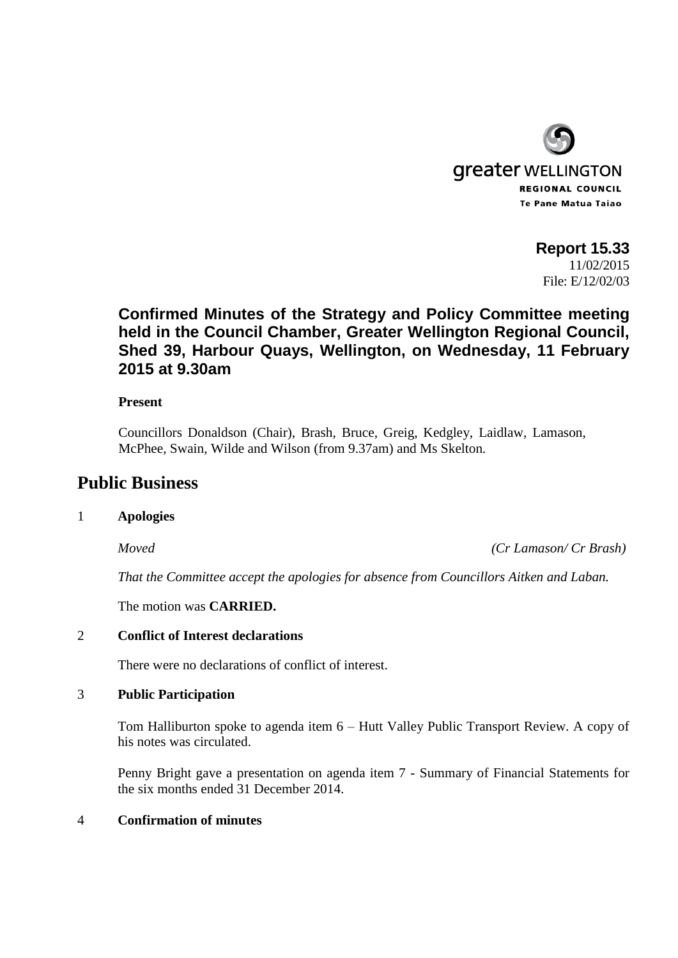

**Report 15.33** 11/02/2015 File: E/12/02/03

# **Confirmed Minutes of the Strategy and Policy Committee meeting held in the Council Chamber, Greater Wellington Regional Council, Shed 39, Harbour Quays, Wellington, on Wednesday, 11 February 2015 at 9.30am**

## **Present**

Councillors Donaldson (Chair), Brash, Bruce, Greig, Kedgley, Laidlaw, Lamason, McPhee, Swain, Wilde and Wilson (from 9.37am) and Ms Skelton*.*

## **Public Business**

## 1 **Apologies**

*Moved (Cr Lamason/ Cr Brash)*

*That the Committee accept the apologies for absence from Councillors Aitken and Laban.*

The motion was **CARRIED.**

## 2 **Conflict of Interest declarations**

There were no declarations of conflict of interest.

## 3 **Public Participation**

Tom Halliburton spoke to agenda item 6 – Hutt Valley Public Transport Review. A copy of his notes was circulated.

Penny Bright gave a presentation on agenda item 7 - Summary of Financial Statements for the six months ended 31 December 2014.

## 4 **Confirmation of minutes**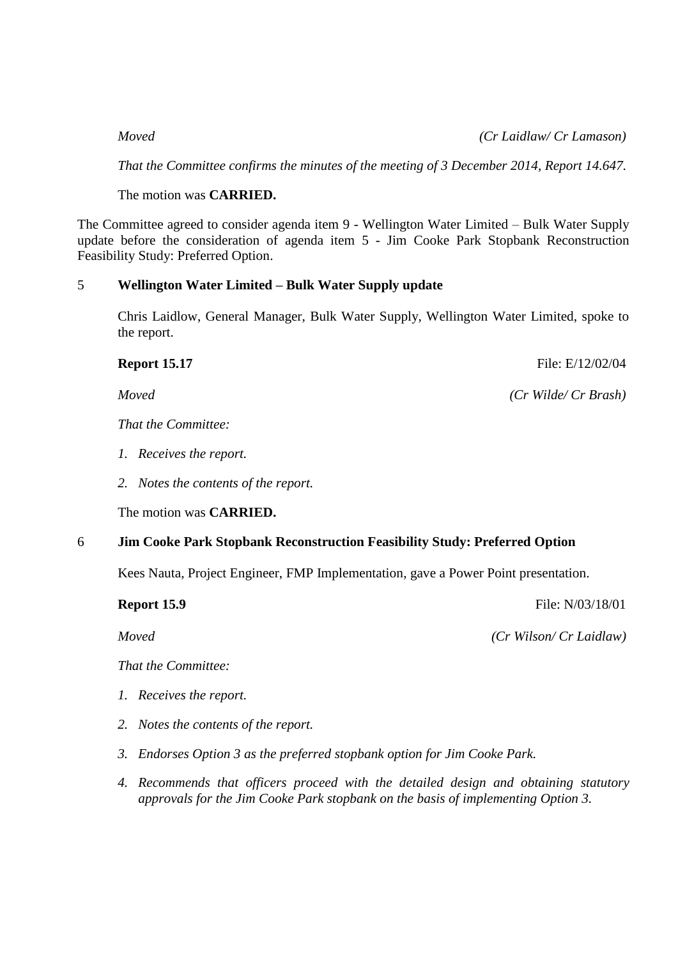## *Moved (Cr Laidlaw/ Cr Lamason)*

*That the Committee confirms the minutes of the meeting of 3 December 2014, Report 14.647.*

The motion was **CARRIED.**

The Committee agreed to consider agenda item 9 - Wellington Water Limited – Bulk Water Supply update before the consideration of agenda item 5 - Jim Cooke Park Stopbank Reconstruction Feasibility Study: Preferred Option.

## 5 **Wellington Water Limited – Bulk Water Supply update**

Chris Laidlow, General Manager, Bulk Water Supply, Wellington Water Limited, spoke to the report.

*That the Committee:*

- *1. Receives the report.*
- *2. Notes the contents of the report.*

The motion was **CARRIED.**

## 6 **Jim Cooke Park Stopbank Reconstruction Feasibility Study: Preferred Option**

Kees Nauta, Project Engineer, FMP Implementation, gave a Power Point presentation.

**Report 15.9** File: N/03/18/01

*Moved (Cr Wilson/ Cr Laidlaw)*

*That the Committee:*

- *1. Receives the report.*
- *2. Notes the contents of the report.*
- *3. Endorses Option 3 as the preferred stopbank option for Jim Cooke Park.*
- *4. Recommends that officers proceed with the detailed design and obtaining statutory approvals for the Jim Cooke Park stopbank on the basis of implementing Option 3.*

**Report 15.17** File: E/12/02/04

*Moved (Cr Wilde/ Cr Brash)*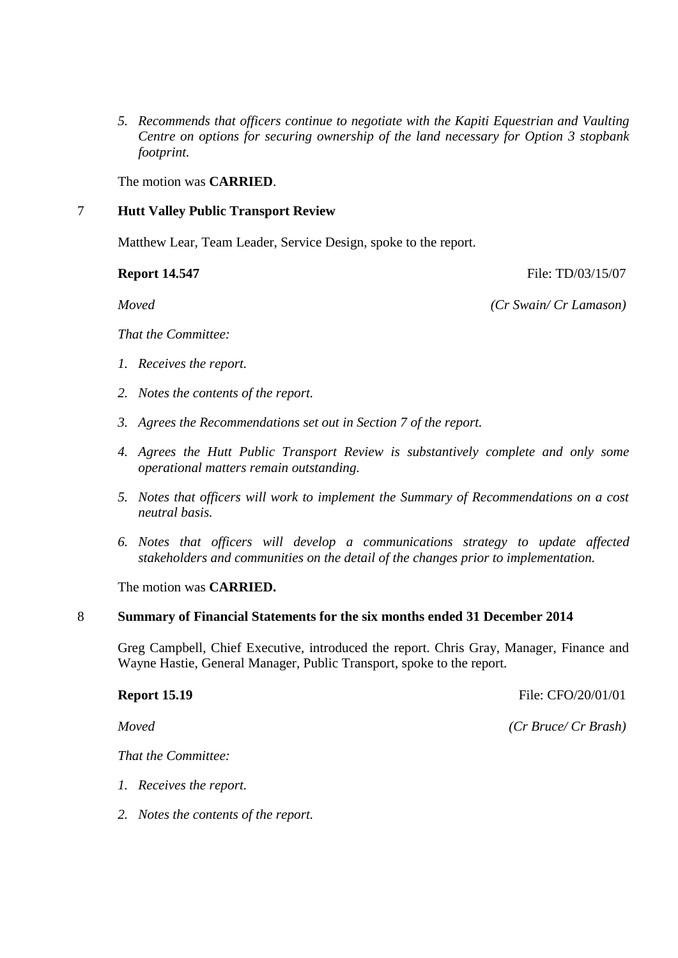*5. Recommends that officers continue to negotiate with the Kapiti Equestrian and Vaulting Centre on options for securing ownership of the land necessary for Option 3 stopbank footprint.*

The motion was **CARRIED**.

## 7 **Hutt Valley Public Transport Review**

Matthew Lear, Team Leader, Service Design, spoke to the report.

**Report 14.547** File: TD/03/15/07

*Moved (Cr Swain/ Cr Lamason)*

*That the Committee:*

- *1. Receives the report.*
- *2. Notes the contents of the report.*
- *3. Agrees the Recommendations set out in Section 7 of the report.*
- *4. Agrees the Hutt Public Transport Review is substantively complete and only some operational matters remain outstanding.*
- *5. Notes that officers will work to implement the Summary of Recommendations on a cost neutral basis.*
- *6. Notes that officers will develop a communications strategy to update affected stakeholders and communities on the detail of the changes prior to implementation.*

The motion was **CARRIED.**

#### 8 **Summary of Financial Statements for the six months ended 31 December 2014**

Greg Campbell, Chief Executive, introduced the report. Chris Gray, Manager, Finance and Wayne Hastie, General Manager, Public Transport, spoke to the report.

## **Report 15.19** File: CFO/20/01/01

*Moved (Cr Bruce/ Cr Brash)*

*That the Committee:*

- *1. Receives the report.*
- *2. Notes the contents of the report.*